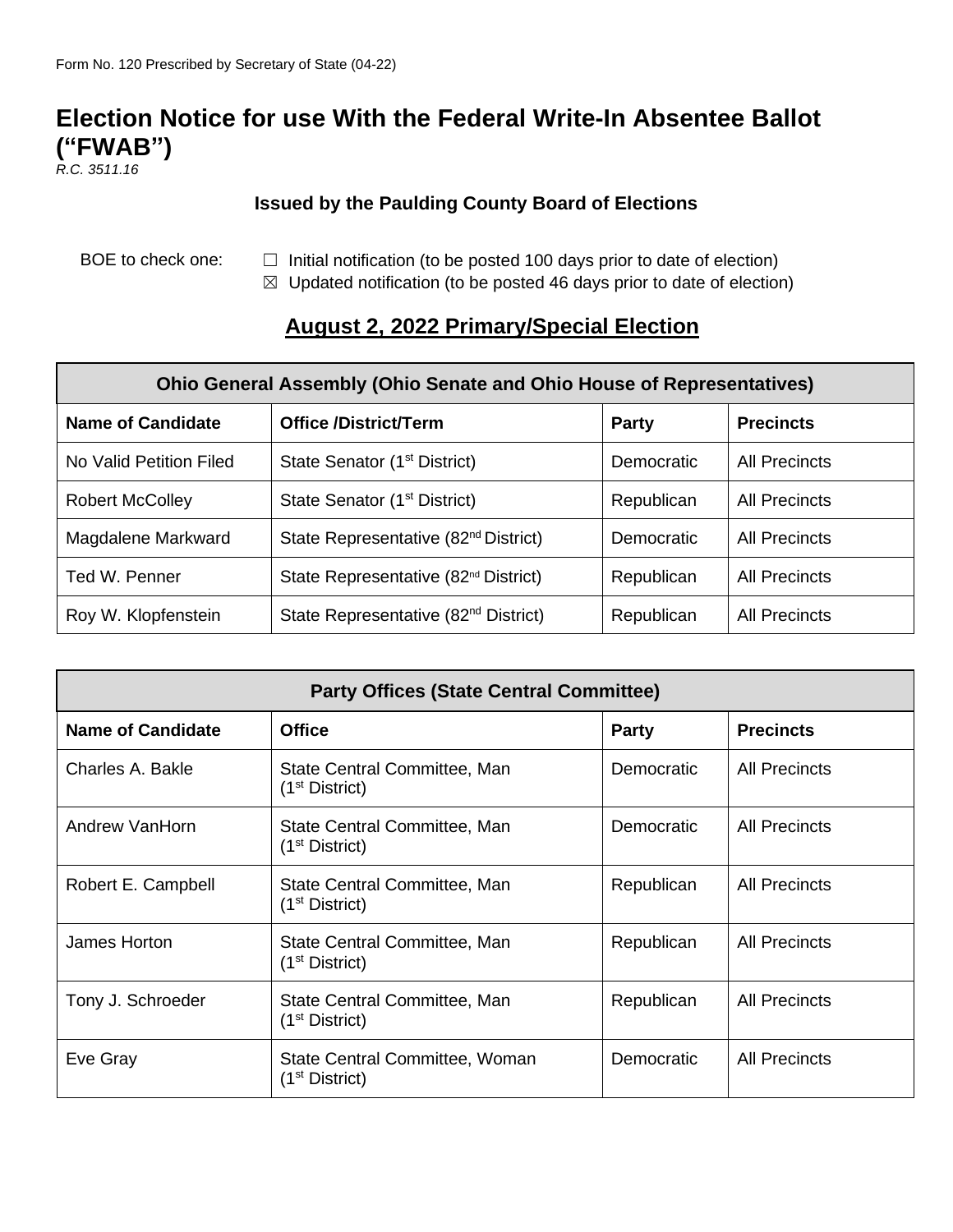## **Election Notice for use With the Federal Write-In Absentee Ballot ("FWAB")**

*R.C. 3511.16*

## **Issued by the Paulding County Board of Elections**

- BOE to check one:  $□$  Initial notification (to be posted 100 days prior to date of election)
	- $\boxtimes$  Updated notification (to be posted 46 days prior to date of election)

## **August 2, 2022 Primary/Special Election**

| Ohio General Assembly (Ohio Senate and Ohio House of Representatives) |                                                  |                   |                      |  |
|-----------------------------------------------------------------------|--------------------------------------------------|-------------------|----------------------|--|
| <b>Name of Candidate</b>                                              | <b>Office /District/Term</b>                     | <b>Party</b>      | <b>Precincts</b>     |  |
| No Valid Petition Filed                                               | State Senator (1 <sup>st</sup> District)         | <b>Democratic</b> | <b>All Precincts</b> |  |
| <b>Robert McColley</b>                                                | State Senator (1 <sup>st</sup> District)         | Republican        | All Precincts        |  |
| Magdalene Markward                                                    | State Representative (82 <sup>nd</sup> District) | Democratic        | All Precincts        |  |
| Ted W. Penner                                                         | State Representative (82 <sup>nd</sup> District) | Republican        | All Precincts        |  |
| Roy W. Klopfenstein                                                   | State Representative (82 <sup>nd</sup> District) | Republican        | <b>All Precincts</b> |  |

| <b>Party Offices (State Central Committee)</b> |                                                              |                   |                      |  |
|------------------------------------------------|--------------------------------------------------------------|-------------------|----------------------|--|
| <b>Name of Candidate</b>                       | <b>Office</b>                                                | <b>Party</b>      | <b>Precincts</b>     |  |
| Charles A. Bakle                               | State Central Committee, Man<br>(1 <sup>st</sup> District)   | <b>Democratic</b> | All Precincts        |  |
| Andrew VanHorn                                 | State Central Committee, Man<br>(1 <sup>st</sup> District)   | Democratic        | <b>All Precincts</b> |  |
| Robert E. Campbell                             | State Central Committee, Man<br>(1 <sup>st</sup> District)   | Republican        | All Precincts        |  |
| James Horton                                   | State Central Committee, Man<br>(1 <sup>st</sup> District)   | Republican        | <b>All Precincts</b> |  |
| Tony J. Schroeder                              | State Central Committee, Man<br>(1 <sup>st</sup> District)   | Republican        | <b>All Precincts</b> |  |
| Eve Gray                                       | State Central Committee, Woman<br>(1 <sup>st</sup> District) | Democratic        | <b>All Precincts</b> |  |